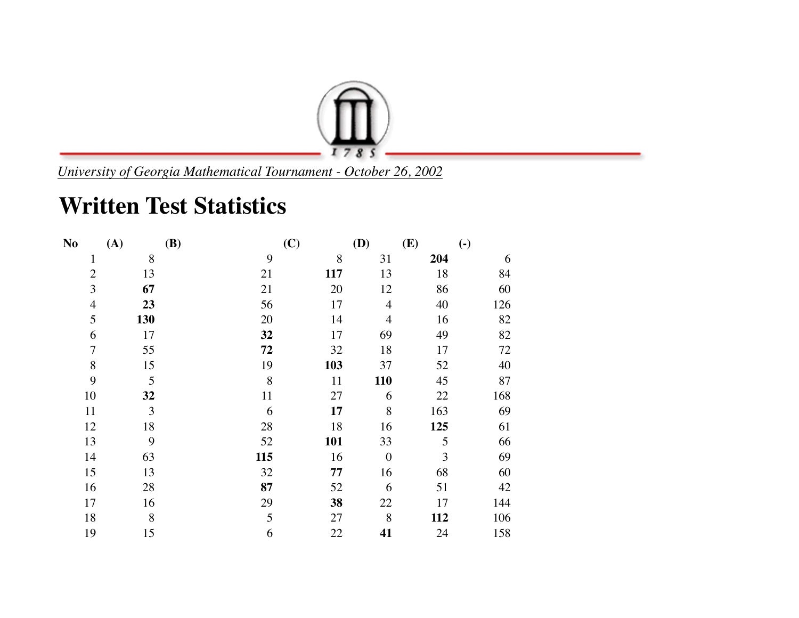

*University of Georgia Mathematical Tournament - October 26, 2002*

## **Written Test Statistics**

| N <sub>0</sub> | (A) | <b>(B)</b> | (C)        | <b>(D)</b>       | (E) | $\left( \text{-} \right)$ |
|----------------|-----|------------|------------|------------------|-----|---------------------------|
| $\mathbf{1}$   | 8   | 9          | 8          | 31               | 204 | 6                         |
| $\overline{2}$ | 13  | 21         | 117        | 13               | 18  | 84                        |
| 3              | 67  | 21         | 20         | 12               | 86  | 60                        |
| $\overline{4}$ | 23  | 56         | 17         | $\overline{4}$   | 40  | 126                       |
| 5              | 130 | 20         | 14         | $\overline{4}$   | 16  | 82                        |
| 6              | 17  | 32         | 17         | 69               | 49  | 82                        |
| 7              | 55  | 72         | 32         | 18               | 17  | 72                        |
| 8              | 15  | 19         | 103        | 37               | 52  | 40                        |
| 9              | 5   | 8          | 11         | 110              | 45  | 87                        |
| 10             | 32  | 11         | 27         | 6                | 22  | 168                       |
| 11             | 3   | 6          | 17         | 8                | 163 | 69                        |
| 12             | 18  | 28         | 18         | 16               | 125 | 61                        |
| 13             | 9   | 52         | <b>101</b> | 33               | 5   | 66                        |
| 14             | 63  | 115        | 16         | $\boldsymbol{0}$ | 3   | 69                        |
| 15             | 13  | 32         | 77         | 16               | 68  | 60                        |
| 16             | 28  | 87         | 52         | 6                | 51  | 42                        |
| 17             | 16  | 29         | 38         | 22               | 17  | 144                       |
| 18             | 8   | 5          | 27         | 8                | 112 | 106                       |
| 19             | 15  | 6          | 22         | 41               | 24  | 158                       |